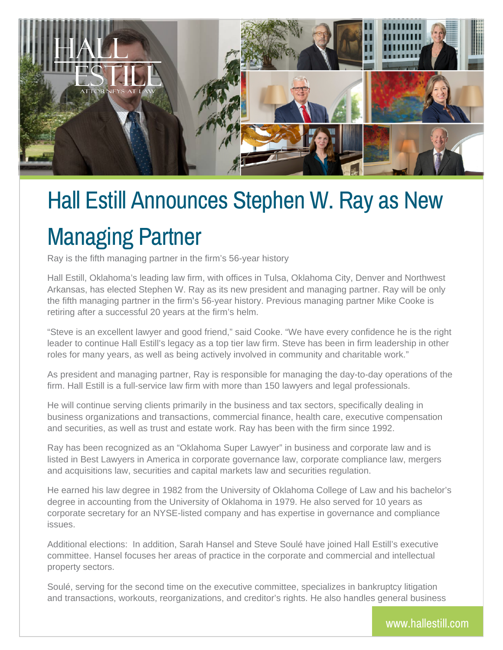

## Hall Estill Announces Stephen W. Ray as New Managing Partner

Ray is the fifth managing partner in the firm's 56-year history

Hall Estill, Oklahoma's leading law firm, with offices in Tulsa, Oklahoma City, Denver and Northwest Arkansas, has elected Stephen W. Ray as its new president and managing partner. Ray will be only the fifth managing partner in the firm's 56-year history. Previous managing partner Mike Cooke is retiring after a successful 20 years at the firm's helm.

"Steve is an excellent lawyer and good friend," said Cooke. "We have every confidence he is the right leader to continue Hall Estill's legacy as a top tier law firm. Steve has been in firm leadership in other roles for many years, as well as being actively involved in community and charitable work."

As president and managing partner, Ray is responsible for managing the day-to-day operations of the firm. Hall Estill is a full-service law firm with more than 150 lawyers and legal professionals.

He will continue serving clients primarily in the business and tax sectors, specifically dealing in business organizations and transactions, commercial finance, health care, executive compensation and securities, as well as trust and estate work. Ray has been with the firm since 1992.

Ray has been recognized as an "Oklahoma Super Lawyer" in business and corporate law and is listed in Best Lawyers in America in corporate governance law, corporate compliance law, mergers and acquisitions law, securities and capital markets law and securities regulation.

He earned his law degree in 1982 from the University of Oklahoma College of Law and his bachelor's degree in accounting from the University of Oklahoma in 1979. He also served for 10 years as corporate secretary for an NYSE-listed company and has expertise in governance and compliance issues.

Additional elections: In addition, Sarah Hansel and Steve Soulé have joined Hall Estill's executive committee. Hansel focuses her areas of practice in the corporate and commercial and intellectual property sectors.

Soulé, serving for the second time on the executive committee, specializes in bankruptcy litigation and transactions, workouts, reorganizations, and creditor's rights. He also handles general business